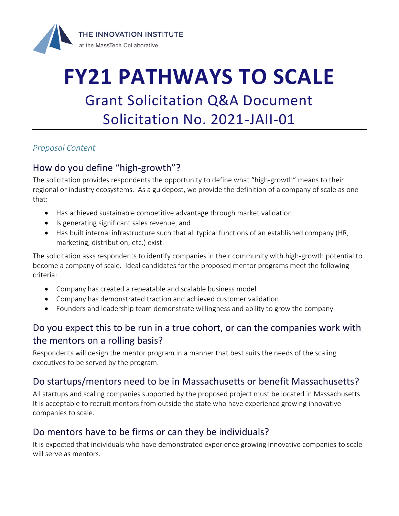

# **FY21 PATHWAYS TO SCALE** Grant Solicitation Q&A Document Solicitation No. 2021-JAII-01

#### *Proposal Content*

# How do you define "high-growth"?

The solicitation provides respondents the opportunity to define what "high-growth" means to their regional or industry ecosystems. As a guidepost, we provide the definition of a company of scale as one that:

- Has achieved sustainable competitive advantage through market validation
- Is generating significant sales revenue, and
- Has built internal infrastructure such that all typical functions of an established company (HR, marketing, distribution, etc.) exist.

The solicitation asks respondents to identify companies in their community with high-growth potential to become a company of scale. Ideal candidates for the proposed mentor programs meet the following criteria:

- Company has created a repeatable and scalable business model
- Company has demonstrated traction and achieved customer validation
- Founders and leadership team demonstrate willingness and ability to grow the company

# Do you expect this to be run in a true cohort, or can the companies work with the mentors on a rolling basis?

Respondents will design the mentor program in a manner that best suits the needs of the scaling executives to be served by the program.

# Do startups/mentors need to be in Massachusetts or benefit Massachusetts?

All startups and scaling companies supported by the proposed project must be located in Massachusetts. It is acceptable to recruit mentors from outside the state who have experience growing innovative companies to scale.

# Do mentors have to be firms or can they be individuals?

It is expected that individuals who have demonstrated experience growing innovative companies to scale will serve as mentors.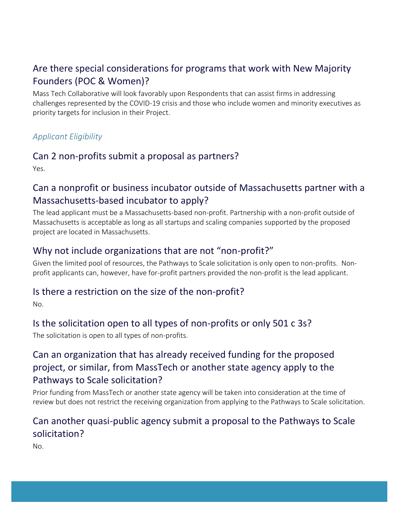# Are there special considerations for programs that work with New Majority Founders (POC & Women)?

Mass Tech Collaborative will look favorably upon Respondents that can assist firms in addressing challenges represented by the COVID-19 crisis and those who include women and minority executives as priority targets for inclusion in their Project.

#### *Applicant Eligibility*

## Can 2 non-profits submit a proposal as partners?

Yes.

# Can a nonprofit or business incubator outside of Massachusetts partner with a Massachusetts-based incubator to apply?

The lead applicant must be a Massachusetts-based non-profit. Partnership with a non-profit outside of Massachusetts is acceptable as long as all startups and scaling companies supported by the proposed project are located in Massachusetts.

## Why not include organizations that are not "non-profit?"

Given the limited pool of resources, the Pathways to Scale solicitation is only open to non-profits. Nonprofit applicants can, however, have for-profit partners provided the non-profit is the lead applicant.

#### Is there a restriction on the size of the non-profit?

No.

# Is the solicitation open to all types of non-profits or only 501 c 3s?

The solicitation is open to all types of non-profits.

# Can an organization that has already received funding for the proposed project, or similar, from MassTech or another state agency apply to the Pathways to Scale solicitation?

Prior funding from MassTech or another state agency will be taken into consideration at the time of review but does not restrict the receiving organization from applying to the Pathways to Scale solicitation.

# Can another quasi-public agency submit a proposal to the Pathways to Scale solicitation?

No.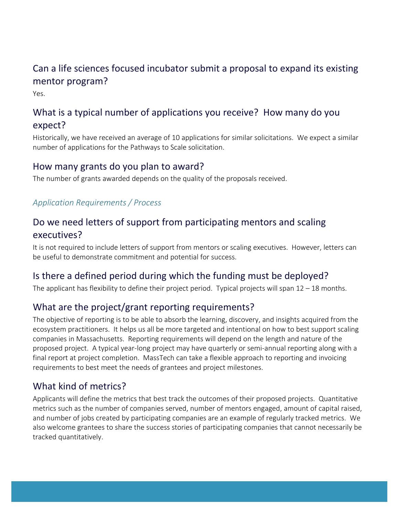# Can a life sciences focused incubator submit a proposal to expand its existing mentor program?

Yes.

# What is a typical number of applications you receive? How many do you expect?

Historically, we have received an average of 10 applications for similar solicitations. We expect a similar number of applications for the Pathways to Scale solicitation.

#### How many grants do you plan to award?

The number of grants awarded depends on the quality of the proposals received.

#### *Application Requirements / Process*

# Do we need letters of support from participating mentors and scaling executives?

It is not required to include letters of support from mentors or scaling executives. However, letters can be useful to demonstrate commitment and potential for success.

# Is there a defined period during which the funding must be deployed?

The applicant has flexibility to define their project period. Typical projects will span 12 – 18 months.

# What are the project/grant reporting requirements?

The objective of reporting is to be able to absorb the learning, discovery, and insights acquired from the ecosystem practitioners. It helps us all be more targeted and intentional on how to best support scaling companies in Massachusetts. Reporting requirements will depend on the length and nature of the proposed project. A typical year-long project may have quarterly or semi-annual reporting along with a final report at project completion. MassTech can take a flexible approach to reporting and invoicing requirements to best meet the needs of grantees and project milestones.

# What kind of metrics?

Applicants will define the metrics that best track the outcomes of their proposed projects. Quantitative metrics such as the number of companies served, number of mentors engaged, amount of capital raised, and number of jobs created by participating companies are an example of regularly tracked metrics. We also welcome grantees to share the success stories of participating companies that cannot necessarily be tracked quantitatively.